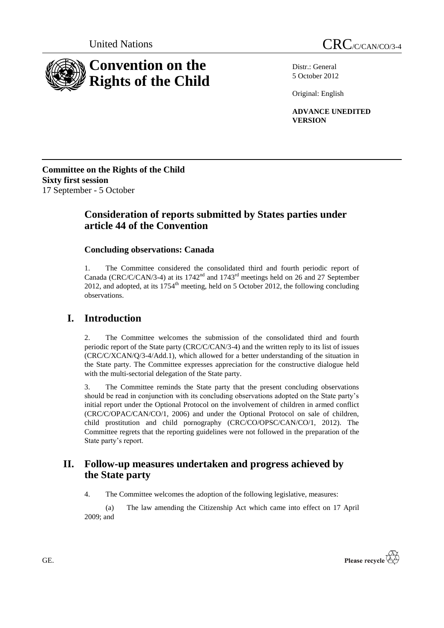

Distr.: General 5 October 2012

Original: English

**ADVANCE UNEDITED VERSION**

**Committee on the Rights of the Child Sixty first session** 17 September - 5 October

# **Consideration of reports submitted by States parties under article 44 of the Convention**

# **Concluding observations: Canada**

1. The Committee considered the consolidated third and fourth periodic report of Canada (CRC/C/CAN/3-4) at its 1742nd and 1743rd meetings held on 26 and 27 September 2012, and adopted, at its  $1754<sup>th</sup>$  meeting, held on 5 October 2012, the following concluding observations.

# **I. Introduction**

2. The Committee welcomes the submission of the consolidated third and fourth periodic report of the State party (CRC/C/CAN/3-4) and the written reply to its list of issues (CRC/C/XCAN/Q/3-4/Add.1), which allowed for a better understanding of the situation in the State party. The Committee expresses appreciation for the constructive dialogue held with the multi-sectorial delegation of the State party.

3. The Committee reminds the State party that the present concluding observations should be read in conjunction with its concluding observations adopted on the State party's initial report under the Optional Protocol on the involvement of children in armed conflict (CRC/C/OPAC/CAN/CO/1, 2006) and under the Optional Protocol on sale of children, child prostitution and child pornography (CRC/CO/OPSC/CAN/CO/1, 2012). The Committee regrets that the reporting guidelines were not followed in the preparation of the State party's report.

# **II. Follow-up measures undertaken and progress achieved by the State party**

4. The Committee welcomes the adoption of the following legislative, measures:

(a) The law amending the Citizenship Act which came into effect on 17 April 2009; and

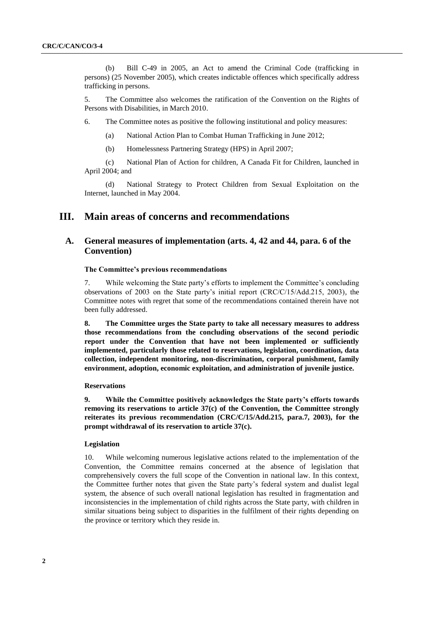(b) Bill C-49 in 2005, an Act to amend the Criminal Code (trafficking in persons) (25 November 2005), which creates indictable offences which specifically address trafficking in persons.

5. The Committee also welcomes the ratification of the Convention on the Rights of Persons with Disabilities, in March 2010.

6. The Committee notes as positive the following institutional and policy measures:

(a) National Action Plan to Combat Human Trafficking in June 2012;

(b) Homelessness Partnering Strategy (HPS) in April 2007;

(c) National Plan of Action for children, A Canada Fit for Children, launched in April 2004; and

(d) National Strategy to Protect Children from Sexual Exploitation on the Internet, launched in May 2004.

# **III. Main areas of concerns and recommendations**

# **A. General measures of implementation (arts. 4, 42 and 44, para. 6 of the Convention)**

## **The Committee"s previous recommendations**

7. While welcoming the State party's efforts to implement the Committee's concluding observations of 2003 on the State party's initial report (CRC/C/15/Add.215, 2003), the Committee notes with regret that some of the recommendations contained therein have not been fully addressed.

**8. The Committee urges the State party to take all necessary measures to address those recommendations from the concluding observations of the second periodic report under the Convention that have not been implemented or sufficiently implemented, particularly those related to reservations, legislation, coordination, data collection, independent monitoring, non-discrimination, corporal punishment, family environment, adoption, economic exploitation, and administration of juvenile justice.**

#### **Reservations**

**9. While the Committee positively acknowledges the State party"s efforts towards removing its reservations to article 37(c) of the Convention, the Committee strongly reiterates its previous recommendation (CRC/C/15/Add.215, para.7, 2003), for the prompt withdrawal of its reservation to article 37(c).**

# **Legislation**

10. While welcoming numerous legislative actions related to the implementation of the Convention, the Committee remains concerned at the absence of legislation that comprehensively covers the full scope of the Convention in national law. In this context, the Committee further notes that given the State party's federal system and dualist legal system, the absence of such overall national legislation has resulted in fragmentation and inconsistencies in the implementation of child rights across the State party, with children in similar situations being subject to disparities in the fulfilment of their rights depending on the province or territory which they reside in.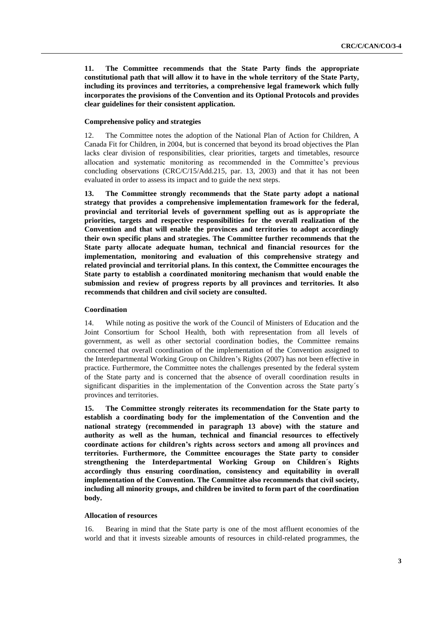**11. The Committee recommends that the State Party finds the appropriate constitutional path that will allow it to have in the whole territory of the State Party, including its provinces and territories, a comprehensive legal framework which fully incorporates the provisions of the Convention and its Optional Protocols and provides clear guidelines for their consistent application.** 

# **Comprehensive policy and strategies**

12. The Committee notes the adoption of the National Plan of Action for Children, A Canada Fit for Children, in 2004, but is concerned that beyond its broad objectives the Plan lacks clear division of responsibilities, clear priorities, targets and timetables, resource allocation and systematic monitoring as recommended in the Committee's previous concluding observations (CRC/C/15/Add.215, par. 13, 2003) and that it has not been evaluated in order to assess its impact and to guide the next steps.

**13. The Committee strongly recommends that the State party adopt a national strategy that provides a comprehensive implementation framework for the federal, provincial and territorial levels of government spelling out as is appropriate the priorities, targets and respective responsibilities for the overall realization of the Convention and that will enable the provinces and territories to adopt accordingly their own specific plans and strategies. The Committee further recommends that the State party allocate adequate human, technical and financial resources for the implementation, monitoring and evaluation of this comprehensive strategy and related provincial and territorial plans. In this context, the Committee encourages the State party to establish a coordinated monitoring mechanism that would enable the submission and review of progress reports by all provinces and territories. It also recommends that children and civil society are consulted.**

#### **Coordination**

14. While noting as positive the work of the Council of Ministers of Education and the Joint Consortium for School Health, both with representation from all levels of government, as well as other sectorial coordination bodies, the Committee remains concerned that overall coordination of the implementation of the Convention assigned to the Interdepartmental Working Group on Children's Rights (2007) has not been effective in practice. Furthermore, the Committee notes the challenges presented by the federal system of the State party and is concerned that the absence of overall coordination results in significant disparities in the implementation of the Convention across the State party´s provinces and territories.

**15. The Committee strongly reiterates its recommendation for the State party to establish a coordinating body for the implementation of the Convention and the national strategy (recommended in paragraph 13 above) with the stature and authority as well as the human, technical and financial resources to effectively coordinate actions for children"s rights across sectors and among all provinces and territories. Furthermore, the Committee encourages the State party to consider strengthening the Interdepartmental Working Group on Children´s Rights accordingly thus ensuring coordination, consistency and equitability in overall implementation of the Convention. The Committee also recommends that civil society, including all minority groups, and children be invited to form part of the coordination body.**

# **Allocation of resources**

16. Bearing in mind that the State party is one of the most affluent economies of the world and that it invests sizeable amounts of resources in child-related programmes, the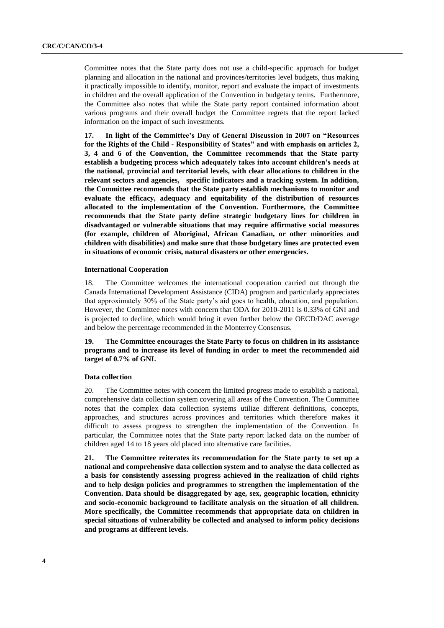Committee notes that the State party does not use a child-specific approach for budget planning and allocation in the national and provinces/territories level budgets, thus making it practically impossible to identify, monitor, report and evaluate the impact of investments in children and the overall application of the Convention in budgetary terms. Furthermore, the Committee also notes that while the State party report contained information about various programs and their overall budget the Committee regrets that the report lacked information on the impact of such investments.

**17. In light of the Committee"s Day of General Discussion in 2007 on "Resources for the Rights of the Child - Responsibility of States" and with emphasis on articles 2, 3, 4 and 6 of the Convention, the Committee recommends that the State party establish a budgeting process which adequately takes into account children"s needs at the national, provincial and territorial levels, with clear allocations to children in the relevant sectors and agencies, specific indicators and a tracking system. In addition, the Committee recommends that the State party establish mechanisms to monitor and evaluate the efficacy, adequacy and equitability of the distribution of resources allocated to the implementation of the Convention. Furthermore, the Committee recommends that the State party define strategic budgetary lines for children in disadvantaged or vulnerable situations that may require affirmative social measures (for example, children of Aboriginal, African Canadian, or other minorities and children with disabilities) and make sure that those budgetary lines are protected even in situations of economic crisis, natural disasters or other emergencies.**

#### **International Cooperation**

18. The Committee welcomes the international cooperation carried out through the Canada International Development Assistance (CIDA) program and particularly appreciates that approximately 30% of the State party's aid goes to health, education, and population. However, the Committee notes with concern that ODA for 2010-2011 is 0.33% of GNI and is projected to decline, which would bring it even further below the OECD/DAC average and below the percentage recommended in the Monterrey Consensus.

**19. The Committee encourages the State Party to focus on children in its assistance programs and to increase its level of funding in order to meet the recommended aid target of 0.7% of GNI.**

#### **Data collection**

20. The Committee notes with concern the limited progress made to establish a national, comprehensive data collection system covering all areas of the Convention. The Committee notes that the complex data collection systems utilize different definitions, concepts, approaches, and structures across provinces and territories which therefore makes it difficult to assess progress to strengthen the implementation of the Convention. In particular, the Committee notes that the State party report lacked data on the number of children aged 14 to 18 years old placed into alternative care facilities.

**21. The Committee reiterates its recommendation for the State party to set up a national and comprehensive data collection system and to analyse the data collected as a basis for consistently assessing progress achieved in the realization of child rights and to help design policies and programmes to strengthen the implementation of the Convention. Data should be disaggregated by age, sex, geographic location, ethnicity and socio-economic background to facilitate analysis on the situation of all children. More specifically, the Committee recommends that appropriate data on children in special situations of vulnerability be collected and analysed to inform policy decisions and programs at different levels.**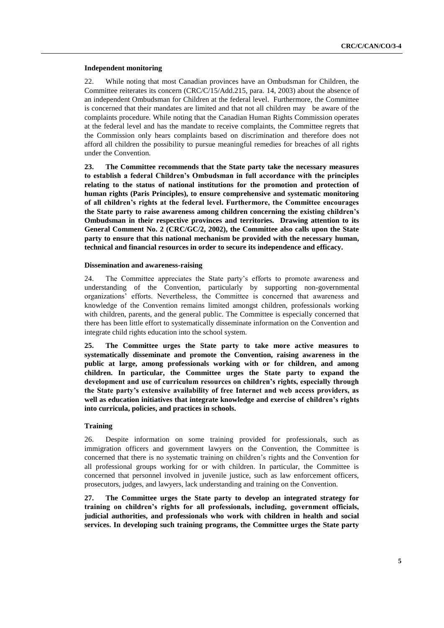#### **Independent monitoring**

22. While noting that most Canadian provinces have an Ombudsman for Children, the Committee reiterates its concern (CRC/C/15/Add.215, para. 14, 2003) about the absence of an independent Ombudsman for Children at the federal level. Furthermore, the Committee is concerned that their mandates are limited and that not all children may be aware of the complaints procedure. While noting that the Canadian Human Rights Commission operates at the federal level and has the mandate to receive complaints, the Committee regrets that the Commission only hears complaints based on discrimination and therefore does not afford all children the possibility to pursue meaningful remedies for breaches of all rights under the Convention.

**23. The Committee recommends that the State party take the necessary measures to establish a federal Children"s Ombudsman in full accordance with the principles relating to the status of national institutions for the promotion and protection of human rights (Paris Principles), to ensure comprehensive and systematic monitoring of all children"s rights at the federal level. Furthermore, the Committee encourages the State party to raise awareness among children concerning the existing children"s Ombudsman in their respective provinces and territories. Drawing attention to its General Comment No. 2 (CRC/GC/2, 2002), the Committee also calls upon the State party to ensure that this national mechanism be provided with the necessary human, technical and financial resources in order to secure its independence and efficacy.** 

## **Dissemination and awareness-raising**

24. The Committee appreciates the State party's efforts to promote awareness and understanding of the Convention, particularly by supporting non-governmental organizations' efforts. Nevertheless, the Committee is concerned that awareness and knowledge of the Convention remains limited amongst children, professionals working with children, parents, and the general public. The Committee is especially concerned that there has been little effort to systematically disseminate information on the Convention and integrate child rights education into the school system.

**25. The Committee urges the State party to take more active measures to systematically disseminate and promote the Convention, raising awareness in the public at large, among professionals working with or for children, and among children. In particular, the Committee urges the State party to expand the development and use of curriculum resources on children"s rights, especially through the State party"s extensive availability of free Internet and web access providers, as well as education initiatives that integrate knowledge and exercise of children"s rights into curricula, policies, and practices in schools.** 

# **Training**

26. Despite information on some training provided for professionals, such as immigration officers and government lawyers on the Convention, the Committee is concerned that there is no systematic training on children's rights and the Convention for all professional groups working for or with children. In particular, the Committee is concerned that personnel involved in juvenile justice, such as law enforcement officers, prosecutors, judges, and lawyers, lack understanding and training on the Convention.

**27. The Committee urges the State party to develop an integrated strategy for training on children"s rights for all professionals, including, government officials, judicial authorities, and professionals who work with children in health and social services. In developing such training programs, the Committee urges the State party**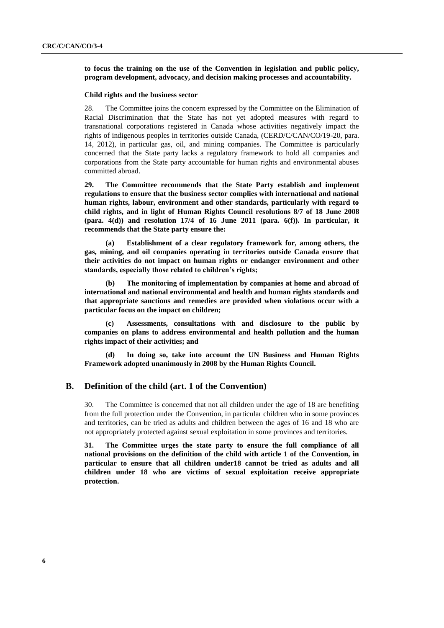**to focus the training on the use of the Convention in legislation and public policy, program development, advocacy, and decision making processes and accountability.**

### **Child rights and the business sector**

28. The Committee joins the concern expressed by the Committee on the Elimination of Racial Discrimination that the State has not yet adopted measures with regard to transnational corporations registered in Canada whose activities negatively impact the rights of indigenous peoples in territories outside Canada, (CERD/C/CAN/CO/19-20, para. 14, 2012), in particular gas, oil, and mining companies. The Committee is particularly concerned that the State party lacks a regulatory framework to hold all companies and corporations from the State party accountable for human rights and environmental abuses committed abroad.

**29. The Committee recommends that the State Party establish and implement regulations to ensure that the business sector complies with international and national human rights, labour, environment and other standards, particularly with regard to child rights, and in light of Human Rights Council resolutions 8/7 of 18 June 2008 (para. 4(d)) and resolution 17/4 of 16 June 2011 (para. 6(f)). In particular, it recommends that the State party ensure the:**

**(a) Establishment of a clear regulatory framework for, among others, the gas, mining, and oil companies operating in territories outside Canada ensure that their activities do not impact on human rights or endanger environment and other standards, especially those related to children"s rights;**

**(b) The monitoring of implementation by companies at home and abroad of international and national environmental and health and human rights standards and that appropriate sanctions and remedies are provided when violations occur with a particular focus on the impact on children;** 

**(c) Assessments, consultations with and disclosure to the public by companies on plans to address environmental and health pollution and the human rights impact of their activities; and**

**(d) In doing so, take into account the UN Business and Human Rights Framework adopted unanimously in 2008 by the Human Rights Council.**

# **B. Definition of the child (art. 1 of the Convention)**

30. The Committee is concerned that not all children under the age of 18 are benefiting from the full protection under the Convention, in particular children who in some provinces and territories, can be tried as adults and children between the ages of 16 and 18 who are not appropriately protected against sexual exploitation in some provinces and territories.

**31. The Committee urges the state party to ensure the full compliance of all national provisions on the definition of the child with article 1 of the Convention, in particular to ensure that all children under18 cannot be tried as adults and all children under 18 who are victims of sexual exploitation receive appropriate protection.**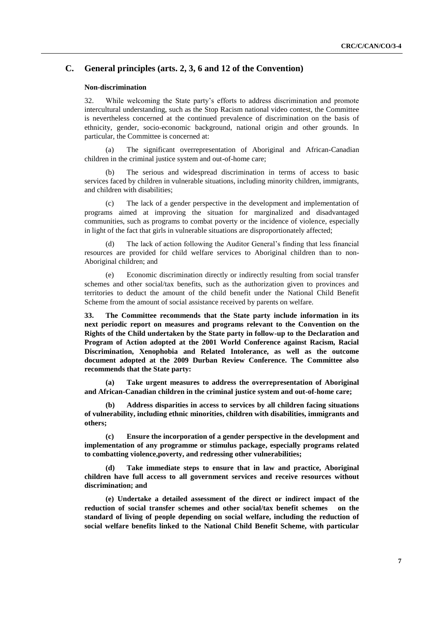# **C. General principles (arts. 2, 3, 6 and 12 of the Convention)**

#### **Non-discrimination**

32. While welcoming the State party's efforts to address discrimination and promote intercultural understanding, such as the Stop Racism national video contest, the Committee is nevertheless concerned at the continued prevalence of discrimination on the basis of ethnicity, gender, socio-economic background, national origin and other grounds. In particular, the Committee is concerned at:

(a) The significant overrepresentation of Aboriginal and African-Canadian children in the criminal justice system and out-of-home care;

(b) The serious and widespread discrimination in terms of access to basic services faced by children in vulnerable situations, including minority children, immigrants, and children with disabilities;

(c) The lack of a gender perspective in the development and implementation of programs aimed at improving the situation for marginalized and disadvantaged communities, such as programs to combat poverty or the incidence of violence, especially in light of the fact that girls in vulnerable situations are disproportionately affected;

(d) The lack of action following the Auditor General's finding that less financial resources are provided for child welfare services to Aboriginal children than to non-Aboriginal children; and

(e) Economic discrimination directly or indirectly resulting from social transfer schemes and other social/tax benefits, such as the authorization given to provinces and territories to deduct the amount of the child benefit under the National Child Benefit Scheme from the amount of social assistance received by parents on welfare.

**33. The Committee recommends that the State party include information in its next periodic report on measures and programs relevant to the Convention on the Rights of the Child undertaken by the State party in follow-up to the Declaration and Program of Action adopted at the 2001 World Conference against Racism, Racial Discrimination, Xenophobia and Related Intolerance, as well as the outcome document adopted at the 2009 Durban Review Conference. The Committee also recommends that the State party:**

**(a) Take urgent measures to address the overrepresentation of Aboriginal and African-Canadian children in the criminal justice system and out-of-home care;**

**(b) Address disparities in access to services by all children facing situations of vulnerability, including ethnic minorities, children with disabilities, immigrants and others;**

**(c) Ensure the incorporation of a gender perspective in the development and implementation of any programme or stimulus package, especially programs related to combatting violence,poverty, and redressing other vulnerabilities;**

Take immediate steps to ensure that in law and practice, Aboriginal **children have full access to all government services and receive resources without discrimination; and**

**(e) Undertake a detailed assessment of the direct or indirect impact of the reduction of social transfer schemes and other social/tax benefit schemes on the standard of living of people depending on social welfare, including the reduction of social welfare benefits linked to the National Child Benefit Scheme, with particular**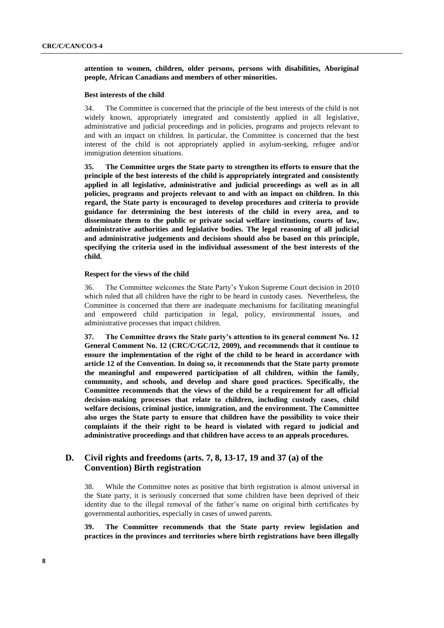# **attention to women, children, older persons, persons with disabilities, Aboriginal people, African Canadians and members of other minorities.**

#### **Best interests of the child**

34. The Committee is concerned that the principle of the best interests of the child is not widely known, appropriately integrated and consistently applied in all legislative, administrative and judicial proceedings and in policies, programs and projects relevant to and with an impact on children. In particular, the Committee is concerned that the best interest of the child is not appropriately applied in asylum-seeking, refugee and/or immigration detention situations.

**35. The Committee urges the State party to strengthen its efforts to ensure that the principle of the best interests of the child is appropriately integrated and consistently applied in all legislative, administrative and judicial proceedings as well as in all policies, programs and projects relevant to and with an impact on children. In this regard, the State party is encouraged to develop procedures and criteria to provide guidance for determining the best interests of the child in every area, and to disseminate them to the public or private social welfare institutions, courts of law, administrative authorities and legislative bodies. The legal reasoning of all judicial and administrative judgements and decisions should also be based on this principle, specifying the criteria used in the individual assessment of the best interests of the child.** 

#### **Respect for the views of the child**

36. The Committee welcomes the State Party's Yukon Supreme Court decision in 2010 which ruled that all children have the right to be heard in custody cases. Nevertheless, the Committee is concerned that there are inadequate mechanisms for facilitating meaningful and empowered child participation in legal, policy, environmental issues, and administrative processes that impact children.

**37. The Committee draws the State party"s attention to its general comment No. 12 General Comment No. 12 (CRC/C/GC/12, 2009), and recommends that it continue to ensure the implementation of the right of the child to be heard in accordance with article 12 of the Convention. In doing so, it recommends that the State party promote the meaningful and empowered participation of all children, within the family, community, and schools, and develop and share good practices. Specifically, the Committee recommends that the views of the child be a requirement for all official decision-making processes that relate to children, including custody cases, child welfare decisions, criminal justice, immigration, and the environment. The Committee also urges the State party to ensure that children have the possibility to voice their complaints if the their right to be heard is violated with regard to judicial and administrative proceedings and that children have access to an appeals procedures.** 

# **D. Civil rights and freedoms (arts. 7, 8, 13-17, 19 and 37 (a) of the Convention) Birth registration**

38. While the Committee notes as positive that birth registration is almost universal in the State party, it is seriously concerned that some children have been deprived of their identity due to the illegal removal of the father's name on original birth certificates by governmental authorities, especially in cases of unwed parents.

**39. The Committee recommends that the State party review legislation and practices in the provinces and territories where birth registrations have been illegally**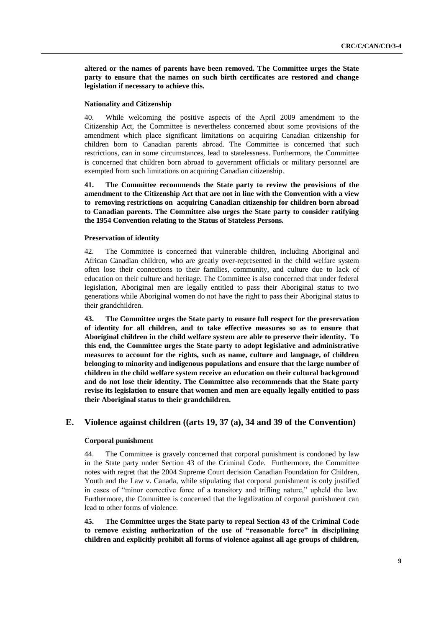**altered or the names of parents have been removed. The Committee urges the State party to ensure that the names on such birth certificates are restored and change legislation if necessary to achieve this.**

#### **Nationality and Citizenship**

40. While welcoming the positive aspects of the April 2009 amendment to the Citizenship Act, the Committee is nevertheless concerned about some provisions of the amendment which place significant limitations on acquiring Canadian citizenship for children born to Canadian parents abroad. The Committee is concerned that such restrictions, can in some circumstances, lead to statelessness. Furthermore, the Committee is concerned that children born abroad to government officials or military personnel are exempted from such limitations on acquiring Canadian citizenship.

**41. The Committee recommends the State party to review the provisions of the amendment to the Citizenship Act that are not in line with the Convention with a view to removing restrictions on acquiring Canadian citizenship for children born abroad to Canadian parents. The Committee also urges the State party to consider ratifying the 1954 Convention relating to the Status of Stateless Persons.**

#### **Preservation of identity**

42. The Committee is concerned that vulnerable children, including Aboriginal and African Canadian children, who are greatly over-represented in the child welfare system often lose their connections to their families, community, and culture due to lack of education on their culture and heritage. The Committee is also concerned that under federal legislation, Aboriginal men are legally entitled to pass their Aboriginal status to two generations while Aboriginal women do not have the right to pass their Aboriginal status to their grandchildren.

**43. The Committee urges the State party to ensure full respect for the preservation of identity for all children, and to take effective measures so as to ensure that Aboriginal children in the child welfare system are able to preserve their identity. To this end, the Committee urges the State party to adopt legislative and administrative measures to account for the rights, such as name, culture and language, of children belonging to minority and indigenous populations and ensure that the large number of children in the child welfare system receive an education on their cultural background and do not lose their identity. The Committee also recommends that the State party revise its legislation to ensure that women and men are equally legally entitled to pass their Aboriginal status to their grandchildren.**

# **E. Violence against children ((arts 19, 37 (a), 34 and 39 of the Convention)**

# **Corporal punishment**

44. The Committee is gravely concerned that corporal punishment is condoned by law in the State party under Section 43 of the Criminal Code. Furthermore, the Committee notes with regret that the 2004 Supreme Court decision Canadian Foundation for Children, Youth and the Law v. Canada, while stipulating that corporal punishment is only justified in cases of "minor corrective force of a transitory and trifling nature," upheld the law. Furthermore, the Committee is concerned that the legalization of corporal punishment can lead to other forms of violence.

**45. The Committee urges the State party to repeal Section 43 of the Criminal Code to remove existing authorization of the use of "reasonable force" in disciplining children and explicitly prohibit all forms of violence against all age groups of children,**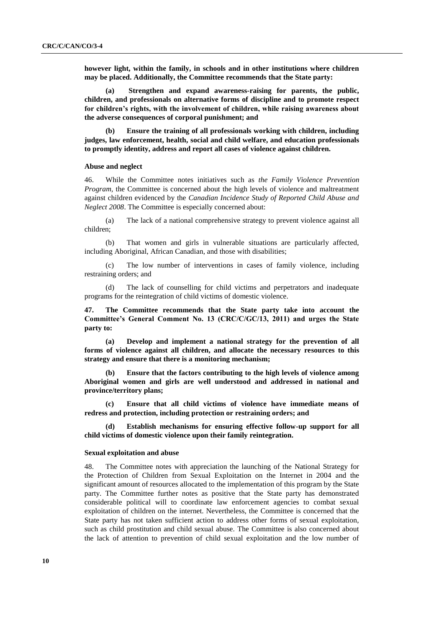**however light, within the family, in schools and in other institutions where children may be placed. Additionally, the Committee recommends that the State party:** 

**(a) Strengthen and expand awareness-raising for parents, the public, children, and professionals on alternative forms of discipline and to promote respect for children"s rights, with the involvement of children, while raising awareness about the adverse consequences of corporal punishment; and**

**(b) Ensure the training of all professionals working with children, including judges, law enforcement, health, social and child welfare, and education professionals to promptly identity, address and report all cases of violence against children.**

#### **Abuse and neglect**

46. While the Committee notes initiatives such as *the Family Violence Prevention Program,* the Committee is concerned about the high levels of violence and maltreatment against children evidenced by the *Canadian Incidence Study of Reported Child Abuse and Neglect 2008*. The Committee is especially concerned about:

(a) The lack of a national comprehensive strategy to prevent violence against all children;

(b) That women and girls in vulnerable situations are particularly affected, including Aboriginal, African Canadian, and those with disabilities;

(c) The low number of interventions in cases of family violence, including restraining orders; and

(d) The lack of counselling for child victims and perpetrators and inadequate programs for the reintegration of child victims of domestic violence.

**47. The Committee recommends that the State party take into account the Committee"s General Comment No. 13 (CRC/C/GC/13, 2011) and urges the State party to:**

**(a) Develop and implement a national strategy for the prevention of all forms of violence against all children, and allocate the necessary resources to this strategy and ensure that there is a monitoring mechanism;**

**(b) Ensure that the factors contributing to the high levels of violence among Aboriginal women and girls are well understood and addressed in national and province/territory plans;**

**(c) Ensure that all child victims of violence have immediate means of redress and protection, including protection or restraining orders; and**

**(d) Establish mechanisms for ensuring effective follow-up support for all child victims of domestic violence upon their family reintegration.**

#### **Sexual exploitation and abuse**

48. The Committee notes with appreciation the launching of the National Strategy for the Protection of Children from Sexual Exploitation on the Internet in 2004 and the significant amount of resources allocated to the implementation of this program by the State party. The Committee further notes as positive that the State party has demonstrated considerable political will to coordinate law enforcement agencies to combat sexual exploitation of children on the internet. Nevertheless, the Committee is concerned that the State party has not taken sufficient action to address other forms of sexual exploitation, such as child prostitution and child sexual abuse. The Committee is also concerned about the lack of attention to prevention of child sexual exploitation and the low number of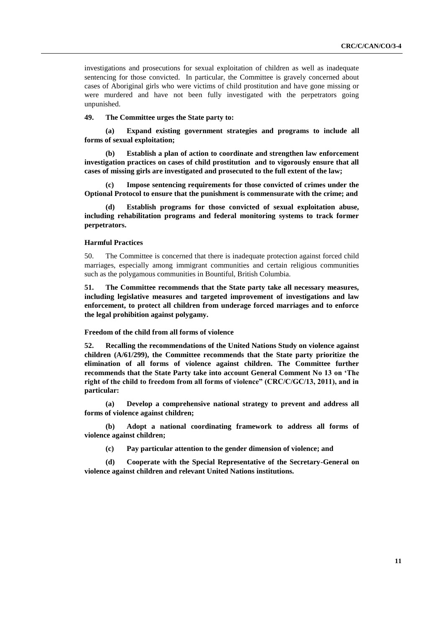investigations and prosecutions for sexual exploitation of children as well as inadequate sentencing for those convicted. In particular, the Committee is gravely concerned about cases of Aboriginal girls who were victims of child prostitution and have gone missing or were murdered and have not been fully investigated with the perpetrators going unpunished.

**49. The Committee urges the State party to:**

**(a) Expand existing government strategies and programs to include all forms of sexual exploitation;**

**(b) Establish a plan of action to coordinate and strengthen law enforcement investigation practices on cases of child prostitution and to vigorously ensure that all cases of missing girls are investigated and prosecuted to the full extent of the law;**

**(c) Impose sentencing requirements for those convicted of crimes under the Optional Protocol to ensure that the punishment is commensurate with the crime; and** 

**(d) Establish programs for those convicted of sexual exploitation abuse, including rehabilitation programs and federal monitoring systems to track former perpetrators.** 

# **Harmful Practices**

50. The Committee is concerned that there is inadequate protection against forced child marriages, especially among immigrant communities and certain religious communities such as the polygamous communities in Bountiful, British Columbia.

**51. The Committee recommends that the State party take all necessary measures, including legislative measures and targeted improvement of investigations and law enforcement, to protect all children from underage forced marriages and to enforce the legal prohibition against polygamy.**

# **Freedom of the child from all forms of violence**

**52. Recalling the recommendations of the United Nations Study on violence against children (A/61/299), the Committee recommends that the State party prioritize the elimination of all forms of violence against children. The Committee further recommends that the State Party take into account General Comment No 13 on "The right of the child to freedom from all forms of violence" (CRC/C/GC/13, 2011), and in particular:**

**(a) Develop a comprehensive national strategy to prevent and address all forms of violence against children;**

**(b) Adopt a national coordinating framework to address all forms of violence against children;**

**(c) Pay particular attention to the gender dimension of violence; and**

**(d) Cooperate with the Special Representative of the Secretary-General on violence against children and relevant United Nations institutions.**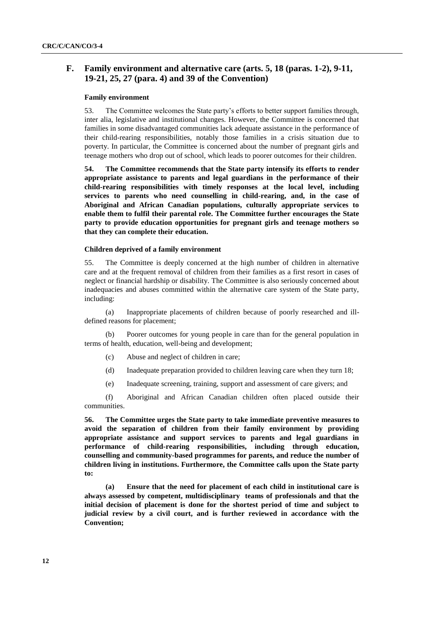# **F. Family environment and alternative care (arts. 5, 18 (paras. 1-2), 9-11, 19-21, 25, 27 (para. 4) and 39 of the Convention)**

# **Family environment**

53. The Committee welcomes the State party's efforts to better support families through, inter alia, legislative and institutional changes. However, the Committee is concerned that families in some disadvantaged communities lack adequate assistance in the performance of their child-rearing responsibilities, notably those families in a crisis situation due to poverty. In particular, the Committee is concerned about the number of pregnant girls and teenage mothers who drop out of school, which leads to poorer outcomes for their children.

**54. The Committee recommends that the State party intensify its efforts to render appropriate assistance to parents and legal guardians in the performance of their child-rearing responsibilities with timely responses at the local level, including services to parents who need counselling in child-rearing, and, in the case of Aboriginal and African Canadian populations, culturally appropriate services to enable them to fulfil their parental role. The Committee further encourages the State party to provide education opportunities for pregnant girls and teenage mothers so that they can complete their education.**

## **Children deprived of a family environment**

55. The Committee is deeply concerned at the high number of children in alternative care and at the frequent removal of children from their families as a first resort in cases of neglect or financial hardship or disability. The Committee is also seriously concerned about inadequacies and abuses committed within the alternative care system of the State party, including:

(a) Inappropriate placements of children because of poorly researched and illdefined reasons for placement;

(b) Poorer outcomes for young people in care than for the general population in terms of health, education, well-being and development;

- (c) Abuse and neglect of children in care;
- (d) Inadequate preparation provided to children leaving care when they turn 18;
- (e) Inadequate screening, training, support and assessment of care givers; and

(f) Aboriginal and African Canadian children often placed outside their communities.

**56. The Committee urges the State party to take immediate preventive measures to avoid the separation of children from their family environment by providing appropriate assistance and support services to parents and legal guardians in performance of child-rearing responsibilities, including through education, counselling and community-based programmes for parents, and reduce the number of children living in institutions. Furthermore, the Committee calls upon the State party to:**

**(a) Ensure that the need for placement of each child in institutional care is always assessed by competent, multidisciplinary teams of professionals and that the initial decision of placement is done for the shortest period of time and subject to judicial review by a civil court, and is further reviewed in accordance with the Convention;**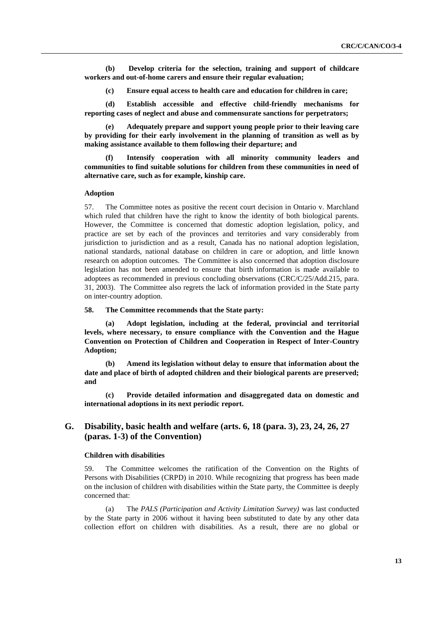**(b) Develop criteria for the selection, training and support of childcare workers and out-of-home carers and ensure their regular evaluation;**

**(c) Ensure equal access to health care and education for children in care;**

**(d) Establish accessible and effective child-friendly mechanisms for reporting cases of neglect and abuse and commensurate sanctions for perpetrators;**

**(e) Adequately prepare and support young people prior to their leaving care by providing for their early involvement in the planning of transition as well as by making assistance available to them following their departure; and**

**(f) Intensify cooperation with all minority community leaders and communities to find suitable solutions for children from these communities in need of alternative care, such as for example, kinship care.**

## **Adoption**

57. The Committee notes as positive the recent court decision in Ontario v. Marchland which ruled that children have the right to know the identity of both biological parents. However, the Committee is concerned that domestic adoption legislation, policy, and practice are set by each of the provinces and territories and vary considerably from jurisdiction to jurisdiction and as a result, Canada has no national adoption legislation, national standards, national database on children in care or adoption, and little known research on adoption outcomes. The Committee is also concerned that adoption disclosure legislation has not been amended to ensure that birth information is made available to adoptees as recommended in previous concluding observations (CRC/C/25/Add.215, para. 31, 2003). The Committee also regrets the lack of information provided in the State party on inter-country adoption.

### **58. The Committee recommends that the State party:**

**(a) Adopt legislation, including at the federal, provincial and territorial levels, where necessary, to ensure compliance with the Convention and the Hague Convention on Protection of Children and Cooperation in Respect of Inter-Country Adoption;** 

**(b) Amend its legislation without delay to ensure that information about the date and place of birth of adopted children and their biological parents are preserved; and**

**(c) Provide detailed information and disaggregated data on domestic and international adoptions in its next periodic report.**

# **G. Disability, basic health and welfare (arts. 6, 18 (para. 3), 23, 24, 26, 27 (paras. 1-3) of the Convention)**

#### **Children with disabilities**

59. The Committee welcomes the ratification of the Convention on the Rights of Persons with Disabilities (CRPD) in 2010. While recognizing that progress has been made on the inclusion of children with disabilities within the State party, the Committee is deeply concerned that:

(a) The *PALS (Participation and Activity Limitation Survey)* was last conducted by the State party in 2006 without it having been substituted to date by any other data collection effort on children with disabilities. As a result, there are no global or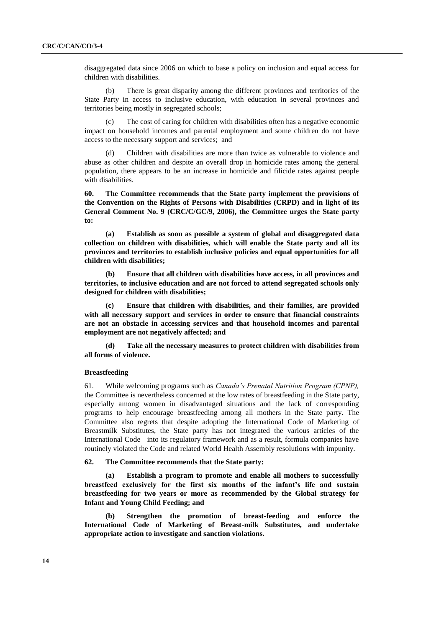disaggregated data since 2006 on which to base a policy on inclusion and equal access for children with disabilities.

(b) There is great disparity among the different provinces and territories of the State Party in access to inclusive education, with education in several provinces and territories being mostly in segregated schools;

(c) The cost of caring for children with disabilities often has a negative economic impact on household incomes and parental employment and some children do not have access to the necessary support and services; and

(d) Children with disabilities are more than twice as vulnerable to violence and abuse as other children and despite an overall drop in homicide rates among the general population, there appears to be an increase in homicide and filicide rates against people with disabilities.

**60. The Committee recommends that the State party implement the provisions of the Convention on the Rights of Persons with Disabilities (CRPD) and in light of its General Comment No. 9 (CRC/C/GC/9, 2006), the Committee urges the State party to:**

**(a) Establish as soon as possible a system of global and disaggregated data collection on children with disabilities, which will enable the State party and all its provinces and territories to establish inclusive policies and equal opportunities for all children with disabilities;** 

**(b) Ensure that all children with disabilities have access, in all provinces and territories, to inclusive education and are not forced to attend segregated schools only designed for children with disabilities;** 

**(c) Ensure that children with disabilities, and their families, are provided with all necessary support and services in order to ensure that financial constraints are not an obstacle in accessing services and that household incomes and parental employment are not negatively affected; and**

**(d) Take all the necessary measures to protect children with disabilities from all forms of violence.** 

# **Breastfeeding**

61. While welcoming programs such as *Canada's Prenatal Nutrition Program (CPNP),* the Committee is nevertheless concerned at the low rates of breastfeeding in the State party, especially among women in disadvantaged situations and the lack of corresponding programs to help encourage breastfeeding among all mothers in the State party. The Committee also regrets that despite adopting the International Code of Marketing of Breastmilk Substitutes, the State party has not integrated the various articles of the International Code into its regulatory framework and as a result, formula companies have routinely violated the Code and related World Health Assembly resolutions with impunity.

#### **62. The Committee recommends that the State party:**

**(a) Establish a program to promote and enable all mothers to successfully breastfeed exclusively for the first six months of the infant"s life and sustain breastfeeding for two years or more as recommended by the Global strategy for Infant and Young Child Feeding; and**

**(b) Strengthen the promotion of breast-feeding and enforce the International Code of Marketing of Breast-milk Substitutes, and undertake appropriate action to investigate and sanction violations.**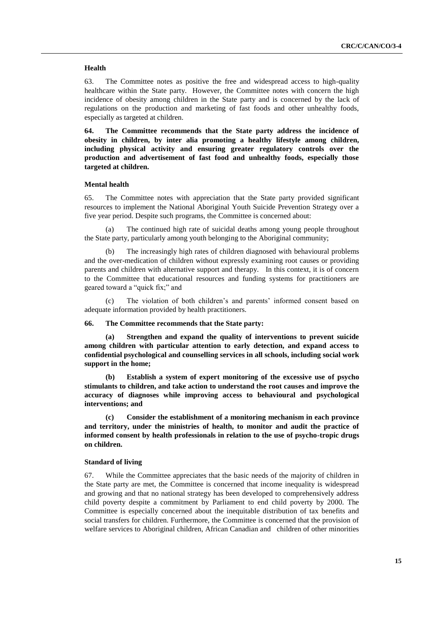### **Health**

63. The Committee notes as positive the free and widespread access to high-quality healthcare within the State party. However, the Committee notes with concern the high incidence of obesity among children in the State party and is concerned by the lack of regulations on the production and marketing of fast foods and other unhealthy foods, especially as targeted at children.

**64. The Committee recommends that the State party address the incidence of obesity in children, by inter alia promoting a healthy lifestyle among children, including physical activity and ensuring greater regulatory controls over the production and advertisement of fast food and unhealthy foods, especially those targeted at children.**

# **Mental health**

65. The Committee notes with appreciation that the State party provided significant resources to implement the National Aboriginal Youth Suicide Prevention Strategy over a five year period. Despite such programs, the Committee is concerned about:

(a) The continued high rate of suicidal deaths among young people throughout the State party, particularly among youth belonging to the Aboriginal community;

(b) The increasingly high rates of children diagnosed with behavioural problems and the over-medication of children without expressly examining root causes or providing parents and children with alternative support and therapy. In this context, it is of concern to the Committee that educational resources and funding systems for practitioners are geared toward a "quick fix;" and

(c) The violation of both children's and parents' informed consent based on adequate information provided by health practitioners.

#### **66. The Committee recommends that the State party:**

**(a) Strengthen and expand the quality of interventions to prevent suicide among children with particular attention to early detection, and expand access to confidential psychological and counselling services in all schools, including social work support in the home;** 

**(b) Establish a system of expert monitoring of the excessive use of psycho stimulants to children, and take action to understand the root causes and improve the accuracy of diagnoses while improving access to behavioural and psychological interventions; and** 

**(c) Consider the establishment of a monitoring mechanism in each province and territory, under the ministries of health, to monitor and audit the practice of informed consent by health professionals in relation to the use of psycho-tropic drugs on children.**

#### **Standard of living**

67. While the Committee appreciates that the basic needs of the majority of children in the State party are met, the Committee is concerned that income inequality is widespread and growing and that no national strategy has been developed to comprehensively address child poverty despite a commitment by Parliament to end child poverty by 2000. The Committee is especially concerned about the inequitable distribution of tax benefits and social transfers for children. Furthermore, the Committee is concerned that the provision of welfare services to Aboriginal children, African Canadian and children of other minorities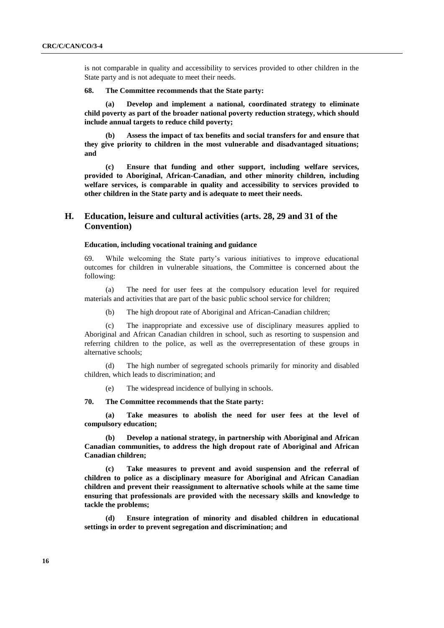is not comparable in quality and accessibility to services provided to other children in the State party and is not adequate to meet their needs.

## **68. The Committee recommends that the State party:**

**(a) Develop and implement a national, coordinated strategy to eliminate child poverty as part of the broader national poverty reduction strategy, which should include annual targets to reduce child poverty;**

**(b) Assess the impact of tax benefits and social transfers for and ensure that they give priority to children in the most vulnerable and disadvantaged situations; and**

**(c) Ensure that funding and other support, including welfare services, provided to Aboriginal, African-Canadian, and other minority children, including welfare services, is comparable in quality and accessibility to services provided to other children in the State party and is adequate to meet their needs.**

# **H. Education, leisure and cultural activities (arts. 28, 29 and 31 of the Convention)**

#### **Education, including vocational training and guidance**

69. While welcoming the State party's various initiatives to improve educational outcomes for children in vulnerable situations, the Committee is concerned about the following:

(a) The need for user fees at the compulsory education level for required materials and activities that are part of the basic public school service for children;

(b) The high dropout rate of Aboriginal and African-Canadian children;

(c) The inappropriate and excessive use of disciplinary measures applied to Aboriginal and African Canadian children in school, such as resorting to suspension and referring children to the police, as well as the overrepresentation of these groups in alternative schools;

(d) The high number of segregated schools primarily for minority and disabled children, which leads to discrimination; and

(e) The widespread incidence of bullying in schools.

**70. The Committee recommends that the State party:**

**(a) Take measures to abolish the need for user fees at the level of compulsory education;** 

**(b) Develop a national strategy, in partnership with Aboriginal and African Canadian communities, to address the high dropout rate of Aboriginal and African Canadian children;**

**(c) Take measures to prevent and avoid suspension and the referral of children to police as a disciplinary measure for Aboriginal and African Canadian children and prevent their reassignment to alternative schools while at the same time ensuring that professionals are provided with the necessary skills and knowledge to tackle the problems;**

**(d) Ensure integration of minority and disabled children in educational settings in order to prevent segregation and discrimination; and**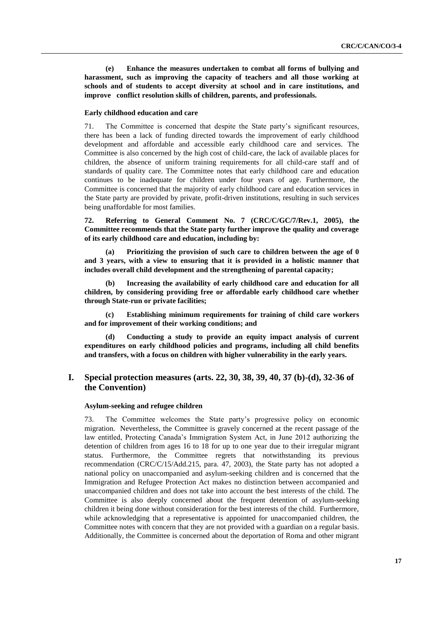**(e) Enhance the measures undertaken to combat all forms of bullying and harassment, such as improving the capacity of teachers and all those working at schools and of students to accept diversity at school and in care institutions, and improve conflict resolution skills of children, parents, and professionals.**

#### **Early childhood education and care**

71. The Committee is concerned that despite the State party's significant resources, there has been a lack of funding directed towards the improvement of early childhood development and affordable and accessible early childhood care and services. The Committee is also concerned by the high cost of child-care, the lack of available places for children, the absence of uniform training requirements for all child-care staff and of standards of quality care. The Committee notes that early childhood care and education continues to be inadequate for children under four years of age. Furthermore, the Committee is concerned that the majority of early childhood care and education services in the State party are provided by private, profit-driven institutions, resulting in such services being unaffordable for most families.

**72. Referring to General Comment No. 7 (CRC/C/GC/7/Rev.1, 2005), the Committee recommends that the State party further improve the quality and coverage of its early childhood care and education, including by:**

**(a) Prioritizing the provision of such care to children between the age of 0 and 3 years, with a view to ensuring that it is provided in a holistic manner that includes overall child development and the strengthening of parental capacity;**

**(b) Increasing the availability of early childhood care and education for all children, by considering providing free or affordable early childhood care whether through State-run or private facilities;**

**(c) Establishing minimum requirements for training of child care workers and for improvement of their working conditions; and**

**(d) Conducting a study to provide an equity impact analysis of current expenditures on early childhood policies and programs, including all child benefits and transfers, with a focus on children with higher vulnerability in the early years.**

# **I. Special protection measures (arts. 22, 30, 38, 39, 40, 37 (b)-(d), 32-36 of the Convention)**

# **Asylum-seeking and refugee children**

73. The Committee welcomes the State party's progressive policy on economic migration. Nevertheless, the Committee is gravely concerned at the recent passage of the law entitled, Protecting Canada's Immigration System Act, in June 2012 authorizing the detention of children from ages 16 to 18 for up to one year due to their irregular migrant status. Furthermore, the Committee regrets that notwithstanding its previous recommendation (CRC/C/15/Add.215, para. 47, 2003), the State party has not adopted a national policy on unaccompanied and asylum-seeking children and is concerned that the Immigration and Refugee Protection Act makes no distinction between accompanied and unaccompanied children and does not take into account the best interests of the child. The Committee is also deeply concerned about the frequent detention of asylum-seeking children it being done without consideration for the best interests of the child. Furthermore, while acknowledging that a representative is appointed for unaccompanied children, the Committee notes with concern that they are not provided with a guardian on a regular basis. Additionally, the Committee is concerned about the deportation of Roma and other migrant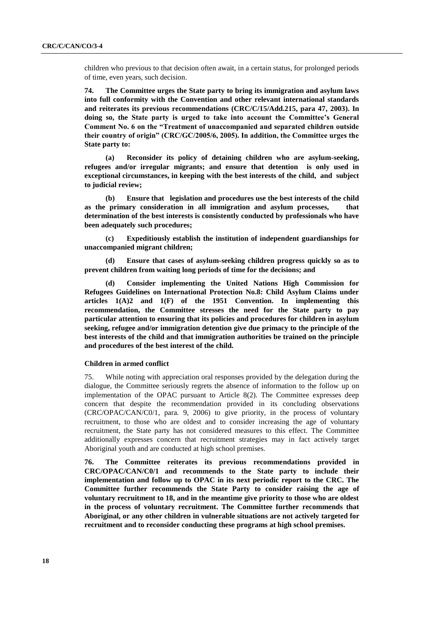children who previous to that decision often await, in a certain status, for prolonged periods of time, even years, such decision.

**74. The Committee urges the State party to bring its immigration and asylum laws into full conformity with the Convention and other relevant international standards and reiterates its previous recommendations (CRC/C/15/Add.215, para 47, 2003). In doing so, the State party is urged to take into account the Committee"s General Comment No. 6 on the "Treatment of unaccompanied and separated children outside their country of origin" (CRC/GC/2005/6, 2005). In addition, the Committee urges the State party to:**

**(a) Reconsider its policy of detaining children who are asylum-seeking, refugees and/or irregular migrants; and ensure that detention is only used in exceptional circumstances, in keeping with the best interests of the child, and subject to judicial review;**

**(b) Ensure that legislation and procedures use the best interests of the child as the primary consideration in all immigration and asylum processes, that determination of the best interests is consistently conducted by professionals who have been adequately such procedures;**

**(c) Expeditiously establish the institution of independent guardianships for unaccompanied migrant children;** 

**(d) Ensure that cases of asylum-seeking children progress quickly so as to prevent children from waiting long periods of time for the decisions; and** 

**(d) Consider implementing the United Nations High Commission for Refugees Guidelines on International Protection No.8: Child Asylum Claims under articles 1(A)2 and 1(F) of the 1951 Convention. In implementing this recommendation, the Committee stresses the need for the State party to pay particular attention to ensuring that its policies and procedures for children in asylum seeking, refugee and/or immigration detention give due primacy to the principle of the best interests of the child and that immigration authorities be trained on the principle and procedures of the best interest of the child.**

#### **Children in armed conflict**

75. While noting with appreciation oral responses provided by the delegation during the dialogue, the Committee seriously regrets the absence of information to the follow up on implementation of the OPAC pursuant to Article 8(2). The Committee expresses deep concern that despite the recommendation provided in its concluding observations (CRC/OPAC/CAN/C0/1, para. 9, 2006) to give priority, in the process of voluntary recruitment, to those who are oldest and to consider increasing the age of voluntary recruitment, the State party has not considered measures to this effect. The Committee additionally expresses concern that recruitment strategies may in fact actively target Aboriginal youth and are conducted at high school premises.

**76. The Committee reiterates its previous recommendations provided in CRC/OPAC/CAN/C0/1 and recommends to the State party to include their implementation and follow up to OPAC in its next periodic report to the CRC. The Committee further recommends the State Party to consider raising the age of voluntary recruitment to 18, and in the meantime give priority to those who are oldest in the process of voluntary recruitment. The Committee further recommends that Aboriginal, or any other children in vulnerable situations are not actively targeted for recruitment and to reconsider conducting these programs at high school premises.**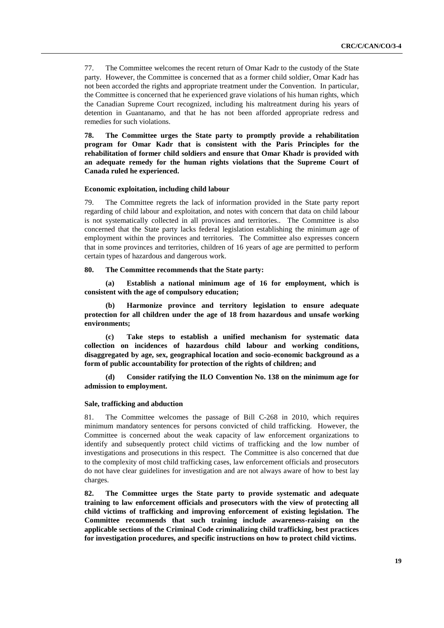77. The Committee welcomes the recent return of Omar Kadr to the custody of the State party. However, the Committee is concerned that as a former child soldier, Omar Kadr has not been accorded the rights and appropriate treatment under the Convention. In particular, the Committee is concerned that he experienced grave violations of his human rights, which the Canadian Supreme Court recognized, including his maltreatment during his years of detention in Guantanamo, and that he has not been afforded appropriate redress and remedies for such violations.

**78. The Committee urges the State party to promptly provide a rehabilitation program for Omar Kadr that is consistent with the Paris Principles for the rehabilitation of former child soldiers and ensure that Omar Khadr is provided with an adequate remedy for the human rights violations that the Supreme Court of Canada ruled he experienced.**

#### **Economic exploitation, including child labour**

79. The Committee regrets the lack of information provided in the State party report regarding of child labour and exploitation, and notes with concern that data on child labour is not systematically collected in all provinces and territories.. The Committee is also concerned that the State party lacks federal legislation establishing the minimum age of employment within the provinces and territories. The Committee also expresses concern that in some provinces and territories, children of 16 years of age are permitted to perform certain types of hazardous and dangerous work.

### **80. The Committee recommends that the State party:**

**(a) Establish a national minimum age of 16 for employment, which is consistent with the age of compulsory education;** 

**(b) Harmonize province and territory legislation to ensure adequate protection for all children under the age of 18 from hazardous and unsafe working environments;**

**(c) Take steps to establish a unified mechanism for systematic data collection on incidences of hazardous child labour and working conditions, disaggregated by age, sex, geographical location and socio-economic background as a form of public accountability for protection of the rights of children; and**

**(d) Consider ratifying the ILO Convention No. 138 on the minimum age for admission to employment.** 

## **Sale, trafficking and abduction**

81. The Committee welcomes the passage of Bill C-268 in 2010, which requires minimum mandatory sentences for persons convicted of child trafficking. However, the Committee is concerned about the weak capacity of law enforcement organizations to identify and subsequently protect child victims of trafficking and the low number of investigations and prosecutions in this respect. The Committee is also concerned that due to the complexity of most child trafficking cases, law enforcement officials and prosecutors do not have clear guidelines for investigation and are not always aware of how to best lay charges.

**82. The Committee urges the State party to provide systematic and adequate training to law enforcement officials and prosecutors with the view of protecting all child victims of trafficking and improving enforcement of existing legislation. The Committee recommends that such training include awareness-raising on the applicable sections of the Criminal Code criminalizing child trafficking, best practices for investigation procedures, and specific instructions on how to protect child victims.**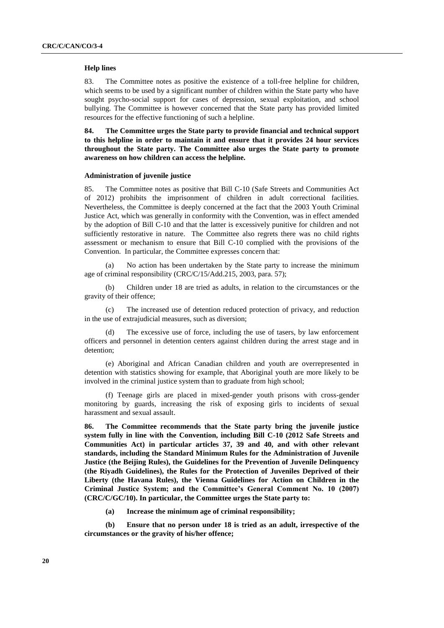#### **Help lines**

83. The Committee notes as positive the existence of a toll-free helpline for children, which seems to be used by a significant number of children within the State party who have sought psycho-social support for cases of depression, sexual exploitation, and school bullying. The Committee is however concerned that the State party has provided limited resources for the effective functioning of such a helpline.

**84. The Committee urges the State party to provide financial and technical support to this helpline in order to maintain it and ensure that it provides 24 hour services throughout the State party. The Committee also urges the State party to promote awareness on how children can access the helpline.**

## **Administration of juvenile justice**

85. The Committee notes as positive that Bill C-10 (Safe Streets and Communities Act of 2012) prohibits the imprisonment of children in adult correctional facilities. Nevertheless, the Committee is deeply concerned at the fact that the 2003 Youth Criminal Justice Act, which was generally in conformity with the Convention, was in effect amended by the adoption of Bill C-10 and that the latter is excessively punitive for children and not sufficiently restorative in nature. The Committee also regrets there was no child rights assessment or mechanism to ensure that Bill C-10 complied with the provisions of the Convention. In particular, the Committee expresses concern that:

(a) No action has been undertaken by the State party to increase the minimum age of criminal responsibility (CRC/C/15/Add.215, 2003, para. 57);

(b) Children under 18 are tried as adults, in relation to the circumstances or the gravity of their offence;

(c) The increased use of detention reduced protection of privacy, and reduction in the use of extrajudicial measures, such as diversion;

The excessive use of force, including the use of tasers, by law enforcement officers and personnel in detention centers against children during the arrest stage and in detention;

(e) Aboriginal and African Canadian children and youth are overrepresented in detention with statistics showing for example, that Aboriginal youth are more likely to be involved in the criminal justice system than to graduate from high school;

(f) Teenage girls are placed in mixed-gender youth prisons with cross-gender monitoring by guards, increasing the risk of exposing girls to incidents of sexual harassment and sexual assault.

**86. The Committee recommends that the State party bring the juvenile justice system fully in line with the Convention, including Bill C-10 (2012 Safe Streets and Communities Act) in particular articles 37, 39 and 40, and with other relevant standards, including the Standard Minimum Rules for the Administration of Juvenile Justice (the Beijing Rules), the Guidelines for the Prevention of Juvenile Delinquency (the Riyadh Guidelines), the Rules for the Protection of Juveniles Deprived of their Liberty (the Havana Rules), the Vienna Guidelines for Action on Children in the Criminal Justice System; and the Committee"s General Comment No. 10 (2007) (CRC/C/GC/10). In particular, the Committee urges the State party to:** 

**(a) Increase the minimum age of criminal responsibility;**

**(b) Ensure that no person under 18 is tried as an adult, irrespective of the circumstances or the gravity of his/her offence;**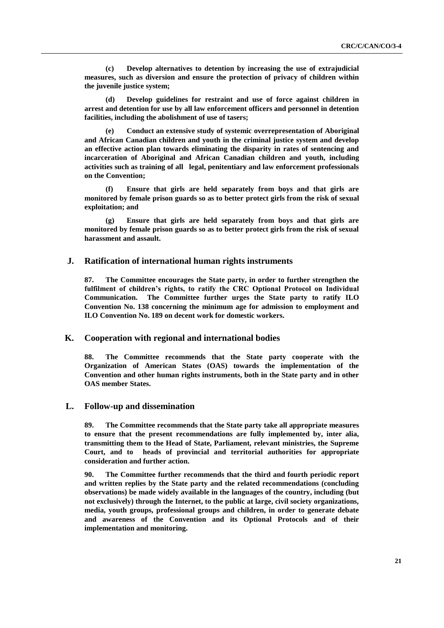**(c) Develop alternatives to detention by increasing the use of extrajudicial measures, such as diversion and ensure the protection of privacy of children within the juvenile justice system;** 

**(d) Develop guidelines for restraint and use of force against children in arrest and detention for use by all law enforcement officers and personnel in detention facilities, including the abolishment of use of tasers;**

**(e) Conduct an extensive study of systemic overrepresentation of Aboriginal and African Canadian children and youth in the criminal justice system and develop an effective action plan towards eliminating the disparity in rates of sentencing and incarceration of Aboriginal and African Canadian children and youth, including activities such as training of all legal, penitentiary and law enforcement professionals on the Convention;** 

**(f) Ensure that girls are held separately from boys and that girls are monitored by female prison guards so as to better protect girls from the risk of sexual exploitation; and**

**(g) Ensure that girls are held separately from boys and that girls are monitored by female prison guards so as to better protect girls from the risk of sexual harassment and assault.** 

# **J. Ratification of international human rights instruments**

**87. The Committee encourages the State party, in order to further strengthen the fulfilment of children"s rights, to ratify the CRC Optional Protocol on Individual Communication. The Committee further urges the State party to ratify ILO Convention No. 138 concerning the minimum age for admission to employment and ILO Convention No. 189 on decent work for domestic workers.** 

# **K. Cooperation with regional and international bodies**

**88. The Committee recommends that the State party cooperate with the Organization of American States (OAS) towards the implementation of the Convention and other human rights instruments, both in the State party and in other OAS member States.** 

# **L. Follow-up and dissemination**

**89. The Committee recommends that the State party take all appropriate measures to ensure that the present recommendations are fully implemented by, inter alia, transmitting them to the Head of State, Parliament, relevant ministries, the Supreme Court, and to heads of provincial and territorial authorities for appropriate consideration and further action.**

**90. The Committee further recommends that the third and fourth periodic report and written replies by the State party and the related recommendations (concluding observations) be made widely available in the languages of the country, including (but not exclusively) through the Internet, to the public at large, civil society organizations, media, youth groups, professional groups and children, in order to generate debate and awareness of the Convention and its Optional Protocols and of their implementation and monitoring.**